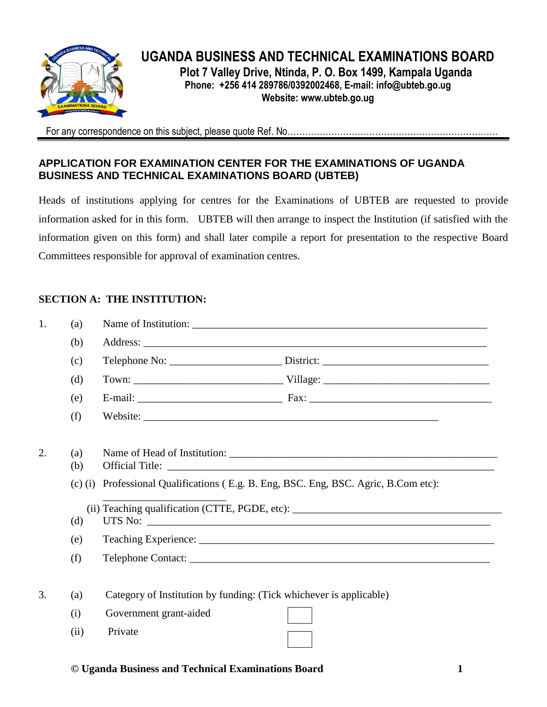

# **UGANDA BUSINESS AND TECHNICAL EXAMINATIONS BOARD Plot 7 Valley Drive, Ntinda, P. O. Box 1499, Kampala Uganda**

**Phone: +256 414 289786/0392002468, E-mail: [info@ubteb.go.ug](mailto:info@ubteb.go.ug) Website: www.ubteb.go.ug**

For any correspondence on this subject, please quote Ref. No………………………………………………………

## **APPLICATION FOR EXAMINATION CENTER FOR THE EXAMINATIONS OF UGANDA BUSINESS AND TECHNICAL EXAMINATIONS BOARD (UBTEB)**

Heads of institutions applying for centres for the Examinations of UBTEB are requested to provide information asked for in this form. UBTEB will then arrange to inspect the Institution (if satisfied with the information given on this form) and shall later compile a report for presentation to the respective Board Committees responsible for approval of examination centres.

## **SECTION A: THE INSTITUTION:**

| 1. | (a)       |                                                                             |  |
|----|-----------|-----------------------------------------------------------------------------|--|
|    | (b)       |                                                                             |  |
|    | (c)       |                                                                             |  |
|    | (d)       |                                                                             |  |
|    | (e)       |                                                                             |  |
|    | (f)       |                                                                             |  |
|    |           |                                                                             |  |
| 2. | (a)       |                                                                             |  |
|    | (b)       |                                                                             |  |
|    | $(c)$ (i) | Professional Qualifications (E.g. B. Eng, BSC. Eng, BSC. Agric, B.Com etc): |  |
|    |           |                                                                             |  |
|    | (d)       |                                                                             |  |
|    | (e)       |                                                                             |  |
|    | (f)       |                                                                             |  |
|    |           |                                                                             |  |
| 3. | (a)       | Category of Institution by funding: (Tick whichever is applicable)          |  |
|    | (i)       | Government grant-aided                                                      |  |
|    | (ii)      | Private                                                                     |  |

### **© Uganda Business and Technical Examinations Board 1**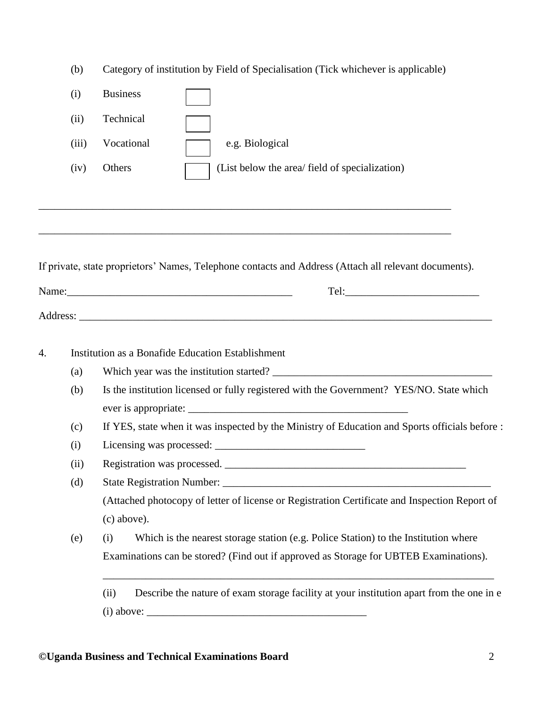|    | (b)   | Category of institution by Field of Specialisation (Tick whichever is applicable)                     |  |  |  |
|----|-------|-------------------------------------------------------------------------------------------------------|--|--|--|
|    | (i)   | <b>Business</b>                                                                                       |  |  |  |
|    | (ii)  | Technical                                                                                             |  |  |  |
|    | (iii) | Vocational<br>e.g. Biological                                                                         |  |  |  |
|    | (iv)  | Others<br>(List below the area/ field of specialization)                                              |  |  |  |
|    |       |                                                                                                       |  |  |  |
|    |       | If private, state proprietors' Names, Telephone contacts and Address (Attach all relevant documents). |  |  |  |
|    |       |                                                                                                       |  |  |  |
|    |       |                                                                                                       |  |  |  |
|    |       |                                                                                                       |  |  |  |
| 4. |       | Institution as a Bonafide Education Establishment                                                     |  |  |  |
|    | (a)   |                                                                                                       |  |  |  |
|    | (b)   | Is the institution licensed or fully registered with the Government? YES/NO. State which              |  |  |  |
|    | (c)   | If YES, state when it was inspected by the Ministry of Education and Sports officials before :        |  |  |  |
|    | (i)   |                                                                                                       |  |  |  |
|    | (ii)  | Registration was processed.                                                                           |  |  |  |
|    | (d)   |                                                                                                       |  |  |  |
|    |       | (Attached photocopy of letter of license or Registration Certificate and Inspection Report of         |  |  |  |
|    |       | (c) above).                                                                                           |  |  |  |
|    | (e)   | Which is the nearest storage station (e.g. Police Station) to the Institution where<br>(i)            |  |  |  |
|    |       | Examinations can be stored? (Find out if approved as Storage for UBTEB Examinations).                 |  |  |  |
|    |       | Describe the nature of exam storage facility at your institution apart from the one in e<br>(ii)      |  |  |  |
|    |       |                                                                                                       |  |  |  |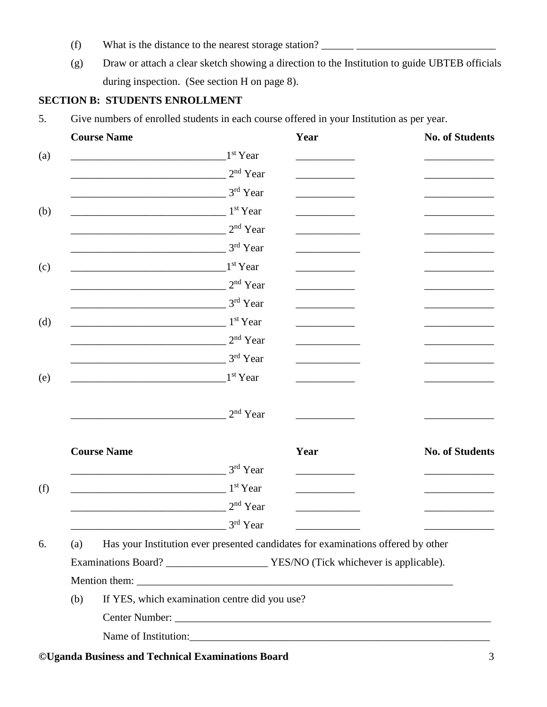- (f) What is the distance to the nearest storage station? \_\_\_\_\_\_ \_\_\_\_\_\_\_\_\_\_\_\_\_\_\_\_\_\_\_\_\_\_\_\_\_\_
- (g) Draw or attach a clear sketch showing a direction to the Institution to guide UBTEB officials during inspection. (See section H on page 8).

## **SECTION B: STUDENTS ENROLLMENT**

5. Give numbers of enrolled students in each course offered in your Institution as per year.

|     | <b>Course Name</b>                                                               |                      | Year | <b>No. of Students</b> |
|-----|----------------------------------------------------------------------------------|----------------------|------|------------------------|
|     |                                                                                  | 1 <sup>st</sup> Year |      |                        |
|     |                                                                                  | $2^{\rm nd}$ Year    |      |                        |
|     |                                                                                  | $3^{\rm rd}$ Year    |      |                        |
|     |                                                                                  | 1 <sup>st</sup> Year |      |                        |
|     |                                                                                  | $2nd$ Year           |      |                        |
|     |                                                                                  | 3rd Year             |      |                        |
|     |                                                                                  | 1 <sup>st</sup> Year |      |                        |
|     |                                                                                  | 2 <sup>nd</sup> Year |      |                        |
|     |                                                                                  | 3rd Year             |      |                        |
|     |                                                                                  | 1 <sup>st</sup> Year |      |                        |
|     |                                                                                  | $2nd$ Year           |      |                        |
|     |                                                                                  | 3rd Year             |      |                        |
|     |                                                                                  | 1 <sup>st</sup> Year |      |                        |
|     |                                                                                  | $2nd$ Year           |      |                        |
|     | <b>Course Name</b>                                                               |                      | Year | <b>No. of Students</b> |
|     |                                                                                  | 3rd Year             |      |                        |
|     |                                                                                  | 1 <sup>st</sup> Year |      |                        |
|     |                                                                                  | 2 <sup>nd</sup> Year |      |                        |
|     |                                                                                  | $3^{\rm rd}$ Year    |      |                        |
| (a) | Has your Institution ever presented candidates for examinations offered by other |                      |      |                        |
|     |                                                                                  |                      |      |                        |
|     |                                                                                  |                      |      |                        |
|     | If YES, which examination centre did you use?                                    |                      |      |                        |
| (b) |                                                                                  |                      |      |                        |
|     |                                                                                  |                      |      |                        |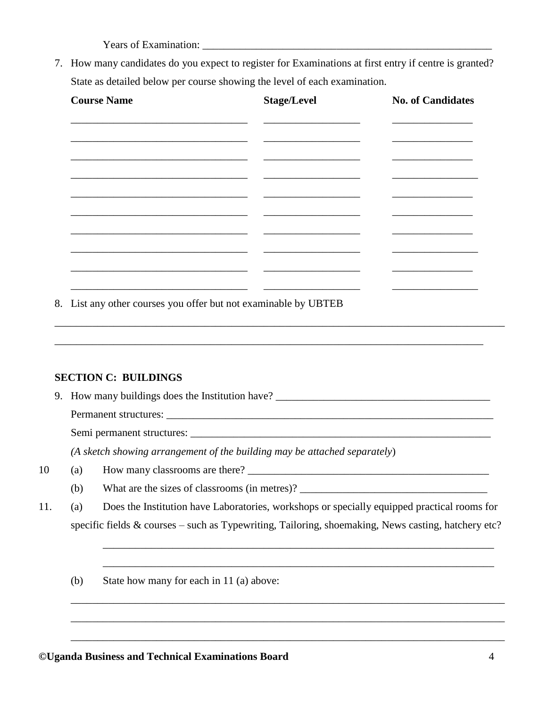Years of Examination:

7. How many candidates do you expect to register for Examinations at first entry if centre is granted? State as detailed below per course showing the level of each examination.

| <b>Course Name</b>       | <b>Stage/Level</b> | <b>No. of Candidates</b> |
|--------------------------|--------------------|--------------------------|
|                          |                    |                          |
|                          |                    |                          |
|                          |                    |                          |
|                          |                    |                          |
|                          |                    |                          |
|                          |                    |                          |
|                          |                    |                          |
| $\overline{\phantom{0}}$ |                    |                          |

\_\_\_\_\_\_\_\_\_\_\_\_\_\_\_\_\_\_\_\_\_\_\_\_\_\_\_\_\_\_\_\_\_\_\_\_\_\_\_\_\_\_\_\_\_\_\_\_\_\_\_\_\_\_\_\_\_\_\_\_\_\_\_\_\_\_\_\_\_\_\_\_\_\_\_\_\_\_\_\_\_\_\_\_

\_\_\_\_\_\_\_\_\_\_\_\_\_\_\_\_\_\_\_\_\_\_\_\_\_\_\_\_\_\_\_\_\_\_\_\_\_\_\_\_\_\_\_\_\_\_\_\_\_\_\_\_\_\_\_\_\_\_\_\_\_\_\_\_\_\_\_\_\_\_\_\_\_\_\_\_\_\_\_\_

8. List any other courses you offer but not examinable by UBTEB

### **SECTION C: BUILDINGS**

9. How many buildings does the Institution have? \_\_\_\_\_\_\_\_\_\_\_\_\_\_\_\_\_\_\_\_\_\_\_\_\_\_\_\_\_\_\_\_

Permanent structures: \_\_\_\_\_\_\_\_\_\_\_\_\_\_\_\_\_\_\_\_\_\_\_\_\_\_\_\_\_\_\_\_\_\_\_\_\_\_\_\_\_\_\_\_\_\_\_\_\_\_\_\_\_\_\_\_\_\_\_\_\_

Semi permanent structures: \_\_\_\_\_\_\_\_\_\_\_\_\_\_\_\_\_\_\_\_\_\_\_\_\_\_\_\_\_\_\_\_\_\_\_\_\_\_\_\_\_\_\_\_\_\_\_\_\_\_\_\_\_\_\_\_

*(A sketch showing arrangement of the building may be attached separately*)

- 10 (a) How many classrooms are there? \_\_\_\_\_\_\_\_\_\_\_\_\_\_\_\_\_\_\_\_\_\_\_\_\_\_\_\_\_\_\_\_\_\_\_\_\_\_\_\_\_\_\_\_\_
	- (b) What are the sizes of classrooms (in metres)?
- 11. (a) Does the Institution have Laboratories, workshops or specially equipped practical rooms for specific fields & courses – such as Typewriting, Tailoring, shoemaking, News casting, hatchery etc?

\_\_\_\_\_\_\_\_\_\_\_\_\_\_\_\_\_\_\_\_\_\_\_\_\_\_\_\_\_\_\_\_\_\_\_\_\_\_\_\_\_\_\_\_\_\_\_\_\_\_\_\_\_\_\_\_\_\_\_\_\_\_\_\_\_\_\_\_\_\_\_\_\_

\_\_\_\_\_\_\_\_\_\_\_\_\_\_\_\_\_\_\_\_\_\_\_\_\_\_\_\_\_\_\_\_\_\_\_\_\_\_\_\_\_\_\_\_\_\_\_\_\_\_\_\_\_\_\_\_\_\_\_\_\_\_\_\_\_\_\_\_\_\_\_\_\_

\_\_\_\_\_\_\_\_\_\_\_\_\_\_\_\_\_\_\_\_\_\_\_\_\_\_\_\_\_\_\_\_\_\_\_\_\_\_\_\_\_\_\_\_\_\_\_\_\_\_\_\_\_\_\_\_\_\_\_\_\_\_\_\_\_\_\_\_\_\_\_\_\_\_\_\_\_\_\_\_\_

\_\_\_\_\_\_\_\_\_\_\_\_\_\_\_\_\_\_\_\_\_\_\_\_\_\_\_\_\_\_\_\_\_\_\_\_\_\_\_\_\_\_\_\_\_\_\_\_\_\_\_\_\_\_\_\_\_\_\_\_\_\_\_\_\_\_\_\_\_\_\_\_\_\_\_\_\_\_\_\_\_

\_\_\_\_\_\_\_\_\_\_\_\_\_\_\_\_\_\_\_\_\_\_\_\_\_\_\_\_\_\_\_\_\_\_\_\_\_\_\_\_\_\_\_\_\_\_\_\_\_\_\_\_\_\_\_\_\_\_\_\_\_\_\_\_\_\_\_\_\_\_\_\_\_\_\_\_\_\_\_\_\_

(b) State how many for each in 11 (a) above: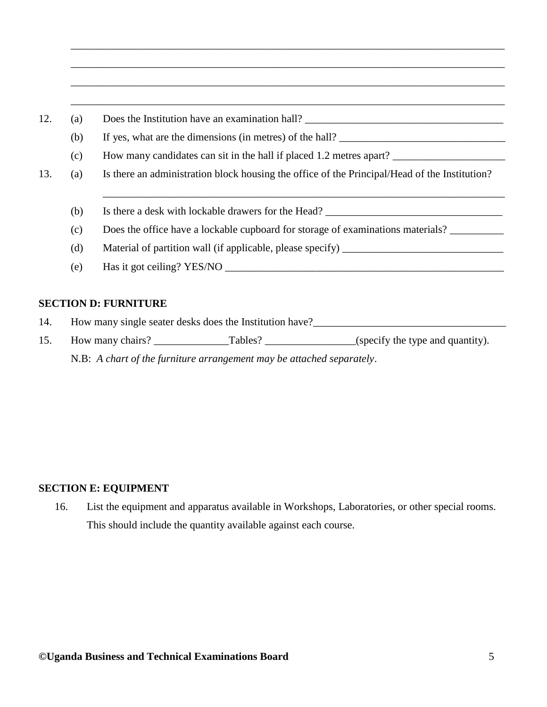| (a) | Does the Institution have an examination hall?                                                |
|-----|-----------------------------------------------------------------------------------------------|
| (b) | If yes, what are the dimensions (in metres) of the hall?                                      |
| (c) | How many candidates can sit in the hall if placed 1.2 metres apart?                           |
| (a) | Is there an administration block housing the office of the Principal/Head of the Institution? |
| (b) | Is there a desk with lockable drawers for the Head?                                           |
| (c) | Does the office have a lockable cupboard for storage of examinations materials?               |
| (d) | Material of partition wall (if applicable, please specify) ______________________             |
| (e) | Has it got ceiling? YES/NO                                                                    |

\_\_\_\_\_\_\_\_\_\_\_\_\_\_\_\_\_\_\_\_\_\_\_\_\_\_\_\_\_\_\_\_\_\_\_\_\_\_\_\_\_\_\_\_\_\_\_\_\_\_\_\_\_\_\_\_\_\_\_\_\_\_\_\_\_\_\_\_\_\_\_\_\_\_\_\_\_\_\_\_\_

\_\_\_\_\_\_\_\_\_\_\_\_\_\_\_\_\_\_\_\_\_\_\_\_\_\_\_\_\_\_\_\_\_\_\_\_\_\_\_\_\_\_\_\_\_\_\_\_\_\_\_\_\_\_\_\_\_\_\_\_\_\_\_\_\_\_\_\_\_\_\_\_\_\_\_\_\_\_\_\_\_

### **SECTION D: FURNITURE**

- 14. How many single seater desks does the Institution have?\_\_\_\_\_\_\_\_\_\_\_\_\_\_\_\_\_\_\_\_\_\_\_\_\_\_\_\_\_\_\_\_\_\_\_\_
- 15. How many chairs? \_\_\_\_\_\_\_\_\_\_\_\_\_\_\_\_\_Tables? \_\_\_\_\_\_\_\_\_\_\_\_\_\_\_\_\_\_\_(specify the type and quantity). N.B: *A chart of the furniture arrangement may be attached separately*.

### **SECTION E: EQUIPMENT**

16. List the equipment and apparatus available in Workshops, Laboratories, or other special rooms. This should include the quantity available against each course.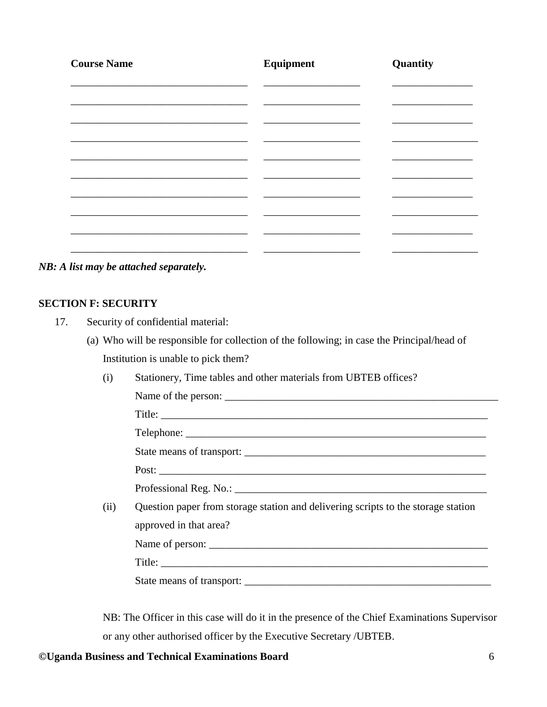| <b>Course Name</b> | Equipment | Quantity |
|--------------------|-----------|----------|
|                    |           |          |
|                    |           |          |
|                    |           |          |
|                    |           |          |
|                    |           |          |
|                    |           |          |
|                    |           |          |
|                    |           |          |
|                    |           |          |

*NB: A list may be attached separately.*

### **SECTION F: SECURITY**

- 17. Security of confidential material:
	- (a) Who will be responsible for collection of the following; in case the Principal/head of Institution is unable to pick them?
		- (i) Stationery, Time tables and other materials from UBTEB offices?

| Name of the person: |
|---------------------|
| Title:              |
| Telephone:          |

| State means of transport: |  |
|---------------------------|--|
|                           |  |

Post: \_\_\_\_\_\_\_\_\_\_\_\_\_\_\_\_\_\_\_\_\_\_\_\_\_\_\_\_\_\_\_\_\_\_\_\_\_\_\_\_\_\_\_\_\_\_\_\_\_\_\_\_\_\_\_\_\_\_\_\_\_

Professional Reg. No.: \_\_\_\_\_\_\_\_\_\_\_\_\_\_\_\_\_\_\_\_\_\_\_\_\_\_\_\_\_\_\_\_\_\_\_\_\_\_\_\_\_\_\_\_\_\_\_

(ii) Question paper from storage station and delivering scripts to the storage station approved in that area? Name of person:

Title: \_\_\_\_\_\_\_\_\_\_\_\_\_\_\_\_\_\_\_\_\_\_\_\_\_\_\_\_\_\_\_\_\_\_\_\_\_\_\_\_\_\_\_\_\_\_\_\_\_\_\_\_\_\_\_\_\_\_\_\_\_

State means of transport: \_\_\_\_\_\_\_\_\_\_\_\_\_\_\_\_\_\_\_\_\_\_\_\_\_\_\_\_\_\_\_\_\_\_\_\_\_\_\_\_\_\_\_\_\_\_

NB: The Officer in this case will do it in the presence of the Chief Examinations Supervisor or any other authorised officer by the Executive Secretary /UBTEB.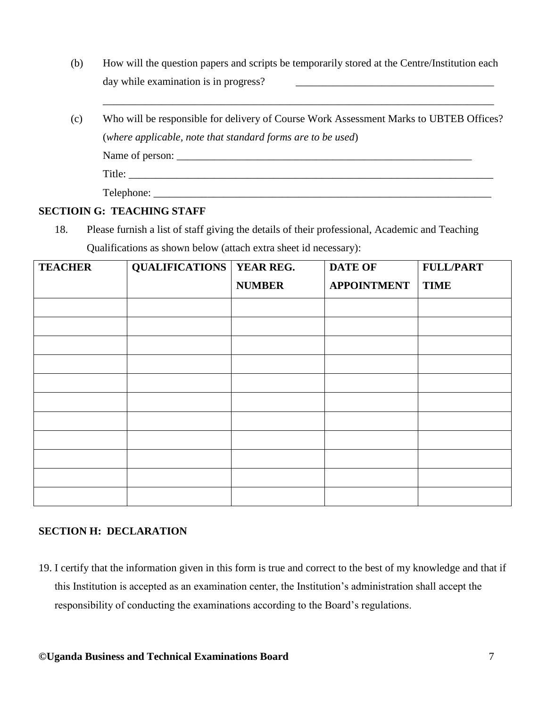(b) How will the question papers and scripts be temporarily stored at the Centre/Institution each day while examination is in progress?

\_\_\_\_\_\_\_\_\_\_\_\_\_\_\_\_\_\_\_\_\_\_\_\_\_\_\_\_\_\_\_\_\_\_\_\_\_\_\_\_\_\_\_\_\_\_\_\_\_\_\_\_\_\_\_\_\_\_\_\_\_\_\_\_\_\_\_\_\_\_\_\_\_

(c) Who will be responsible for delivery of Course Work Assessment Marks to UBTEB Offices? (*where applicable, note that standard forms are to be used*) Name of person: \_\_\_\_\_\_\_\_\_\_\_\_\_\_\_\_\_\_\_\_\_\_\_\_\_\_\_\_\_\_\_\_\_\_\_\_\_\_\_\_\_\_\_\_\_\_\_\_\_\_\_\_\_\_\_ Title: \_\_\_\_\_\_\_\_\_\_\_\_\_\_\_\_\_\_\_\_\_\_\_\_\_\_\_\_\_\_\_\_\_\_\_\_\_\_\_\_\_\_\_\_\_\_\_\_\_\_\_\_\_\_\_\_\_\_\_\_\_\_\_\_\_\_\_\_ Telephone:

#### **SECTIOIN G: TEACHING STAFF**

18. Please furnish a list of staff giving the details of their professional, Academic and Teaching Qualifications as shown below (attach extra sheet id necessary):

| <b>TEACHER</b> | <b>QUALIFICATIONS   YEAR REG.</b> |               | <b>DATE OF</b>     | <b>FULL/PART</b> |
|----------------|-----------------------------------|---------------|--------------------|------------------|
|                |                                   | <b>NUMBER</b> | <b>APPOINTMENT</b> | <b>TIME</b>      |
|                |                                   |               |                    |                  |
|                |                                   |               |                    |                  |
|                |                                   |               |                    |                  |
|                |                                   |               |                    |                  |
|                |                                   |               |                    |                  |
|                |                                   |               |                    |                  |
|                |                                   |               |                    |                  |
|                |                                   |               |                    |                  |
|                |                                   |               |                    |                  |
|                |                                   |               |                    |                  |
|                |                                   |               |                    |                  |

#### **SECTION H: DECLARATION**

19. I certify that the information given in this form is true and correct to the best of my knowledge and that if this Institution is accepted as an examination center, the Institution's administration shall accept the responsibility of conducting the examinations according to the Board's regulations.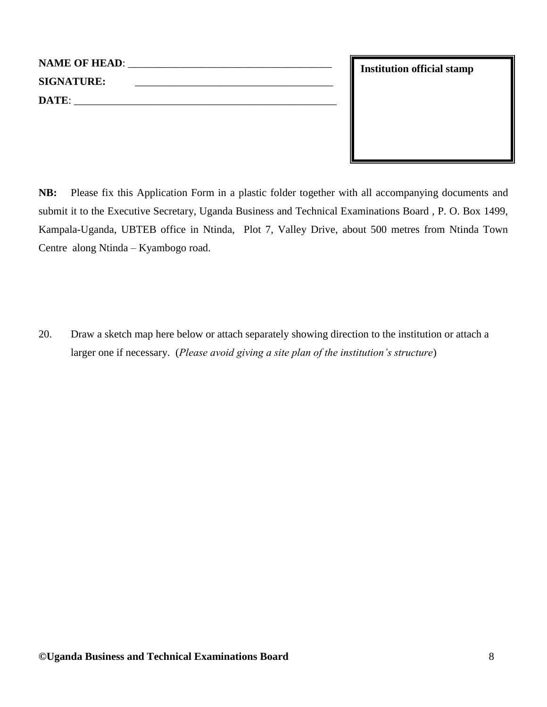| <b>NAME OF HEAD:</b> | the contract of the contract of the contract of the contract of the contract of the contract of the contract of |
|----------------------|-----------------------------------------------------------------------------------------------------------------|
| <b>SIGNATURE:</b>    |                                                                                                                 |
| DATE:                |                                                                                                                 |
|                      |                                                                                                                 |

**NB:** Please fix this Application Form in a plastic folder together with all accompanying documents and submit it to the Executive Secretary, Uganda Business and Technical Examinations Board , P. O. Box 1499, Kampala-Uganda, UBTEB office in Ntinda, Plot 7, Valley Drive, about 500 metres from Ntinda Town Centre along Ntinda – Kyambogo road.

20. Draw a sketch map here below or attach separately showing direction to the institution or attach a larger one if necessary. (*Please avoid giving a site plan of the institution's structure*)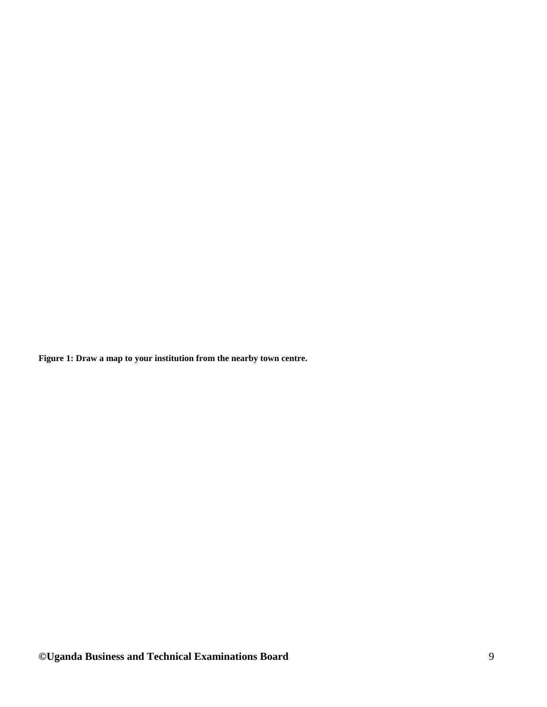**Figure 1: Draw a map to your institution from the nearby town centre.**